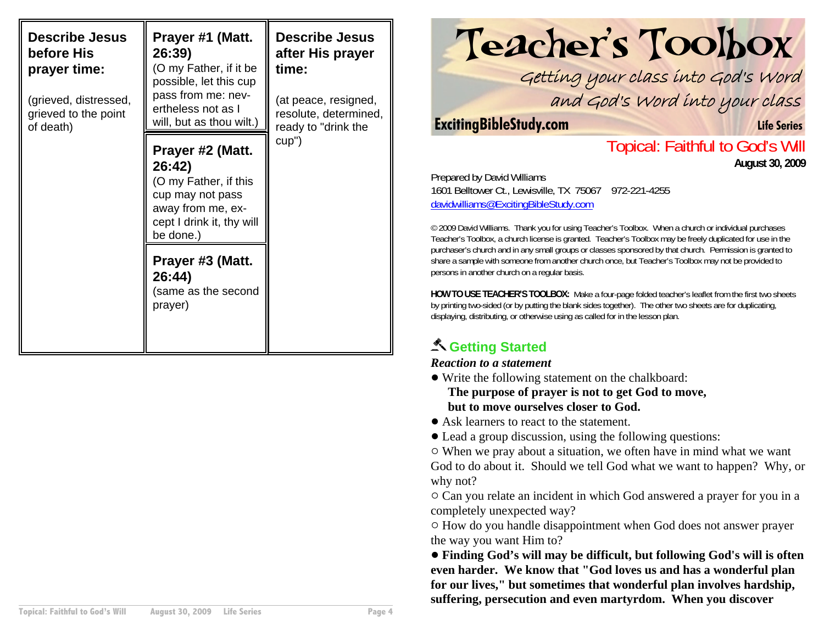| <b>Describe Jesus</b><br>before His<br>prayer time:<br>(grieved, distressed,<br>grieved to the point<br>of death) | Prayer #1 (Matt.<br>26:39)<br>(O my Father, if it be<br>possible, let this cup<br>pass from me: nev-<br>ertheless not as I<br>will, but as thou wilt.) | <b>Describe Jesus</b><br>after His prayer<br>time:<br>(at peace, resigned,<br>resolute, determined,<br>ready to "drink the |
|-------------------------------------------------------------------------------------------------------------------|--------------------------------------------------------------------------------------------------------------------------------------------------------|----------------------------------------------------------------------------------------------------------------------------|
|                                                                                                                   | Prayer #2 (Matt.<br>26:42)<br>(O my Father, if this<br>cup may not pass<br>away from me, ex-<br>cept I drink it, thy will<br>be done.)                 | cup")                                                                                                                      |
|                                                                                                                   | Prayer #3 (Matt.<br>26:44)<br>(same as the second<br>prayer)                                                                                           |                                                                                                                            |

# Teacher's Toolbox

Getting your class into God's Word and God's Word into your class

#### **ExcitingBibleStudy.com Life Series**

### Topical: Faithful to God's Will **August 30, 2009**

Prepared by David Williams 1601 Belltower Ct., Lewisville, TX 75067 972-221-4255 davidwilliams@ExcitingBibleStudy.com

© 2009 David Williams. Thank you for using Teacher's Toolbox. When a church or individual purchases Teacher's Toolbox, a church license is granted. Teacher's Toolbox may be freely duplicated for use in the purchaser's church and in any small groups or classes sponsored by that church. Permission is granted to share a sample with someone from another church once, but Teacher's Toolbox may not be provided to persons in another church on a regular basis.

**HOW TO USE TEACHER'S TOOLBOX:** Make a four-page folded teacher's leaflet from the first two sheets by printing two-sided (or by putting the blank sides together). The other two sheets are for duplicating, displaying, distributing, or otherwise using as called for in the lesson plan.

# **Getting Started**

#### *Reaction to a statement*

- Write the following statement on the chalkboard: **The purpose of prayer is not to get God to move, but to move ourselves closer to God.**
- Ask learners to react to the statement.
- ! Lead a group discussion, using the following questions:

 $\circ$  When we pray about a situation, we often have in mind what we want God to do about it. Should we tell God what we want to happen? Why, or why not?

 $\circ$  Can you relate an incident in which God answered a prayer for you in a completely unexpected way?

 $\circ$  How do you handle disappointment when God does not answer prayer the way you want Him to?

! **Finding God's will may be difficult, but following God's will is often even harder. We know that "God loves us and has a wonderful plan for our lives," but sometimes that wonderful plan involves hardship, suffering, persecution and even martyrdom. When you discover**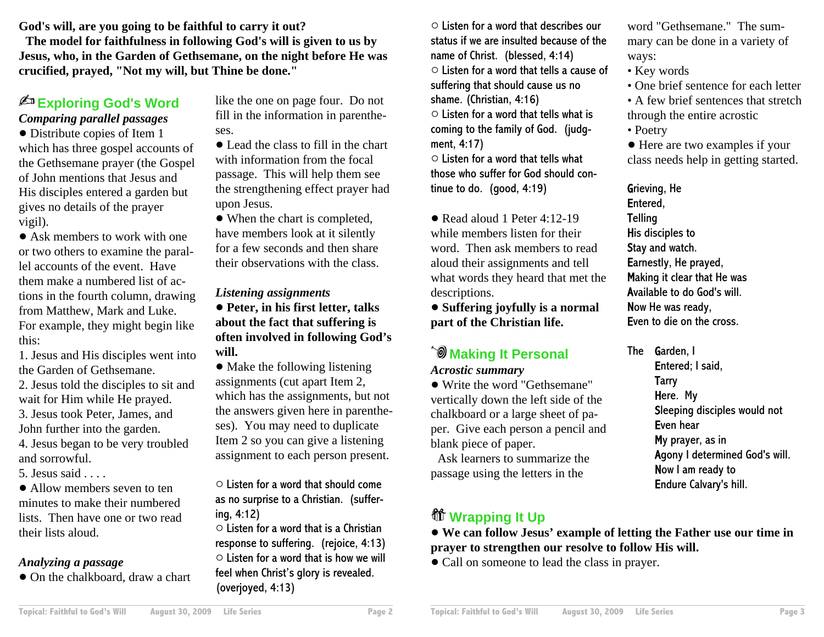**God's will, are you going to be faithful to carry it out?**

**The model for faithfulness in following God's will is given to us by Jesus, who, in the Garden of Gethsemane, on the night before He was crucified, prayed, "Not my will, but Thine be done."**

#### **Exploring God's Word** *Comparing parallel passages*

• Distribute copies of Item 1 which has three gospel accounts of the Gethsemane prayer (the Gospel of John mentions that Jesus andHis disciples entered a garden but gives no details of the prayer vigil).

• Ask members to work with one or two others to examine the parallel accounts of the event. Havethem make a numbered list of actions in the fourth column, drawing from Matthew, Mark and Luke. For example, they might begin like this:

1. Jesus and His disciples went into the Garden of Gethsemane.2. Jesus told the disciples to sit and wait for Him while He prayed. 3. Jesus took Peter, James, and John further into the garden. 4. Jesus began to be very troubled

and sorrowful.

5. Jesus said  $\ldots$ 

• Allow members seven to ten minutes to make their numberedlists. Then have one or two readtheir lists aloud.

#### *Analyzing a passage*

• On the chalkboard, draw a chart

like the one on page four. Do not fill in the information in parentheses.

• Lead the class to fill in the chart with information from the focalpassage. This will help them see the strengthening effect prayer had upon Jesus.

• When the chart is completed, have members look at it silently for a few seconds and then sharetheir observations with the class.

#### *Listening assignments*

! **Peter, in his first letter, talks about the fact that suffering is often involved in following God's will.**

• Make the following listening assignments (cut apart Item 2, which has the assignments, but not the answers given here in parentheses). You may need to duplicate Item 2 so you can give a listening assignment to each person present.

 $\circ$  Listen for a word that should come as no surprise to a Christian. (suffering, 4:12)

 $\circ$  Listen for a word that is a Christian response to suffering. (rejoice, 4:13)  $\circ$  Listen for a word that is how we will feel when Christ's glory is revealed. (overjoyed, 4:13)

 $\circ$  Listen for a word that describes our status if we are insulted because of thename of Christ. (blessed, 4:14)  $\circ$  Listen for a word that tells a cause of suffering that should cause us no shame. (Christian, 4:16)  $\circ$  Listen for a word that tells what is coming to the family of God. (judgment, 4:17)

 $\circ$  Listen for a word that tells what those who suffer for God should continue to do. (good, 4:19)

• Read aloud 1 Peter 4:12-19 while members listen for theirword. Then ask members to read aloud their assignments and tell what words they heard that met the descriptions.

! **Suffering joyfully is a normal part of the Christian life.**

# **Making It Personal**

*Acrostic summary*

! Write the word "Gethsemane"vertically down the left side of the chalkboard or a large sheet of paper. Give each person a pencil and blank piece of paper.

Ask learners to summarize thepassage using the letters in the

## **Wrapping It Up**

word "Gethsemane." The summary can be done in a variety of ways:

- Key words
- One brief sentence for each letter
- A few brief sentences that stretch through the entire acrostic
- Poetry

• Here are two examples if your class needs help in getting started.

Grieving, He Entered, **Telling** His disciples to Stay and watch. Earnestly, He prayed, Making it clear that He was Available to do God's will.Now He was ready, Even to die on the cross.

The **G**arden, I Entered; I said, **Tarry** Here. My Sleeping disciples would not Even hearMy prayer, as in Agony I determined God's will. Now I am ready to Endure Calvary's hill.

! **We can follow Jesus' example of letting the Father use our time in prayer to strengthen our resolve to follow His will.**

• Call on someone to lead the class in prayer.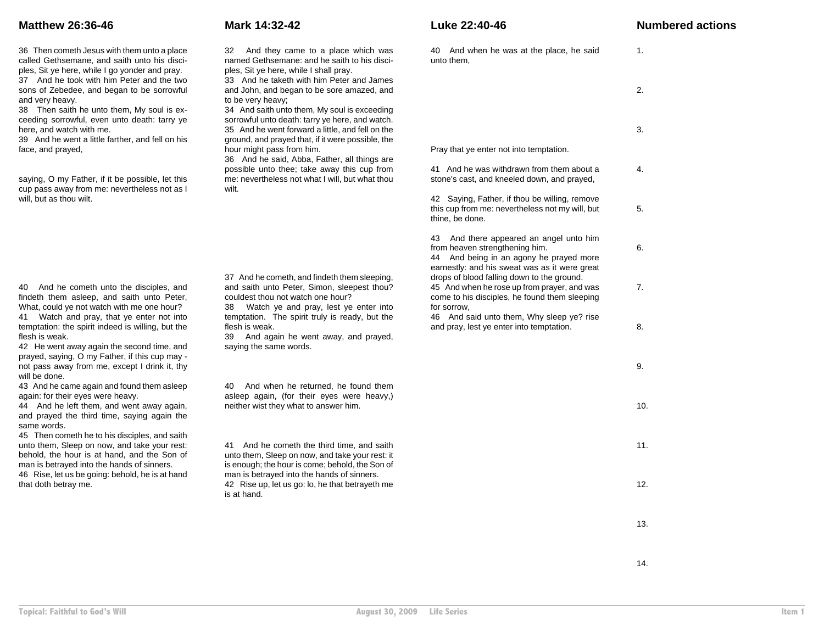36 Then cometh Jesus with them unto a place called Gethsemane, and saith unto his disciples, Sit ye here, while I go yonder and pray.

37 And he took with him Peter and the two sons of Zebedee, and began to be sorrowful and very heavy.

38 Then saith he unto them, My soul is exceeding sorrowful, even unto death: tarry ye here, and watch with me.

39 And he went a little farther, and fell on his face, and prayed,

saying, O my Father, if it be possible, let this cup pass away from me: nevertheless not as I will, but as thou wilt.

40 And he cometh unto the disciples, and findeth them asleep, and saith unto Peter, What, could ye not watch with me one hour? 41 Watch and pray, that ye enter not into temptation: the spirit indeed is willing, but the flesh is weak.

42 He went away again the second time, and prayed, saying, O my Father, if this cup may not pass away from me, except I drink it, thy will be done.

43 And he came again and found them asleep again: for their eyes were heavy.

44 And he left them, and went away again, and prayed the third time, saying again the same words.

45 Then cometh he to his disciples, and saith unto them, Sleep on now, and take your rest: behold, the hour is at hand, and the Son of man is betrayed into the hands of sinners. 46 Rise, let us be going: behold, he is at hand that doth betray me.

32 And they came to a place which was named Gethsemane: and he saith to his disciples, Sit ye here, while I shall pray.

33 And he taketh with him Peter and Jamesand John, and began to be sore amazed, and to be very heavy;

34 And saith unto them, My soul is exceeding sorrowful unto death: tarry ye here, and watch. 35 And he went forward a little, and fell on the ground, and prayed that, if it were possible, the hour might pass from him.

36 And he said, Abba, Father, all things are possible unto thee; take away this cup from me: nevertheless not what I will, but what thou wilt.

37 And he cometh, and findeth them sleeping, and saith unto Peter, Simon, sleepest thou? couldest thou not watch one hour?

38 Watch ye and pray, lest ye enter into temptation. The spirit truly is ready, but the flesh is weak.

39 And again he went away, and prayed, saying the same words.

40 And when he returned, he found them asleep again, (for their eyes were heavy,) neither wist they what to answer him.

41 And he cometh the third time, and saith unto them, Sleep on now, and take your rest: it is enough; the hour is come; behold, the Son of man is betrayed into the hands of sinners. 42 Rise up, let us go: lo, he that betrayeth me is at hand.

#### **Matthew 26:36-46 Mark 14:32-42 Luke 22:40-46 Numbered actions**

| And when he was at the place, he said<br>40<br>unto them,                                                                                                                                                                                                                                                                                | 1.  |
|------------------------------------------------------------------------------------------------------------------------------------------------------------------------------------------------------------------------------------------------------------------------------------------------------------------------------------------|-----|
|                                                                                                                                                                                                                                                                                                                                          | 2.  |
|                                                                                                                                                                                                                                                                                                                                          | 3.  |
| Pray that ye enter not into temptation.                                                                                                                                                                                                                                                                                                  |     |
| And he was withdrawn from them about a<br>41<br>stone's cast, and kneeled down, and prayed,                                                                                                                                                                                                                                              | 4.  |
| 42<br>Saying, Father, if thou be willing, remove<br>this cup from me: nevertheless not my will, but<br>thine, be done.                                                                                                                                                                                                                   | 5.  |
| 43<br>And there appeared an angel unto him<br>from heaven strengthening him.<br>44<br>And being in an agony he prayed more<br>earnestly: and his sweat was as it were great<br>drops of blood falling down to the ground.<br>45 And when he rose up from prayer, and was<br>come to his disciples, he found them sleeping<br>for sorrow. |     |
|                                                                                                                                                                                                                                                                                                                                          |     |
|                                                                                                                                                                                                                                                                                                                                          | 9.  |
|                                                                                                                                                                                                                                                                                                                                          | 10. |
|                                                                                                                                                                                                                                                                                                                                          | 11. |
|                                                                                                                                                                                                                                                                                                                                          | 12. |
|                                                                                                                                                                                                                                                                                                                                          | 13. |

14.